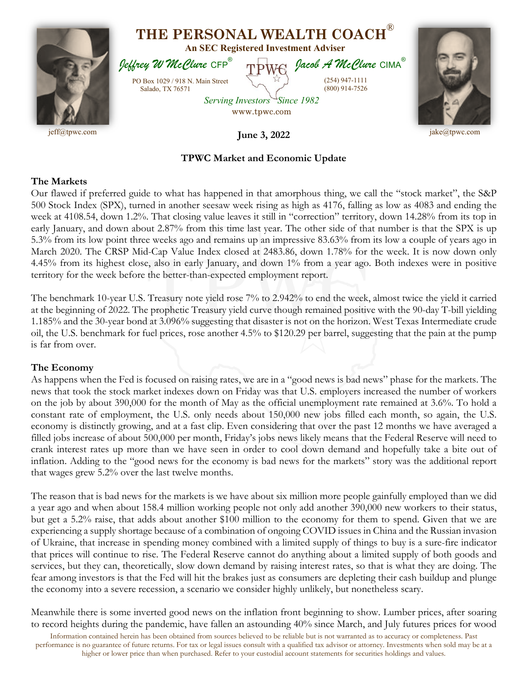

## **TPWC Market and Economic Update**

## **The Markets**

Our flawed if preferred guide to what has happened in that amorphous thing, we call the "stock market", the S&P 500 Stock Index (SPX), turned in another seesaw week rising as high as 4176, falling as low as 4083 and ending the week at 4108.54, down 1.2%. That closing value leaves it still in "correction" territory, down 14.28% from its top in early January, and down about 2.87% from this time last year. The other side of that number is that the SPX is up 5.3% from its low point three weeks ago and remains up an impressive 83.63% from its low a couple of years ago in March 2020. The CRSP Mid-Cap Value Index closed at 2483.86, down 1.78% for the week. It is now down only 4.45% from its highest close, also in early January, and down 1% from a year ago. Both indexes were in positive territory for the week before the better-than-expected employment report.

The benchmark 10-year U.S. Treasury note yield rose 7% to 2.942% to end the week, almost twice the yield it carried at the beginning of 2022. The prophetic Treasury yield curve though remained positive with the 90-day T-bill yielding 1.185% and the 30-year bond at 3.096% suggesting that disaster is not on the horizon. West Texas Intermediate crude oil, the U.S. benchmark for fuel prices, rose another 4.5% to \$120.29 per barrel, suggesting that the pain at the pump is far from over.

## **The Economy**

As happens when the Fed is focused on raising rates, we are in a "good news is bad news" phase for the markets. The news that took the stock market indexes down on Friday was that U.S. employers increased the number of workers on the job by about 390,000 for the month of May as the official unemployment rate remained at 3.6%. To hold a constant rate of employment, the U.S. only needs about 150,000 new jobs filled each month, so again, the U.S. economy is distinctly growing, and at a fast clip. Even considering that over the past 12 months we have averaged a filled jobs increase of about 500,000 per month, Friday's jobs news likely means that the Federal Reserve will need to crank interest rates up more than we have seen in order to cool down demand and hopefully take a bite out of inflation. Adding to the "good news for the economy is bad news for the markets" story was the additional report that wages grew 5.2% over the last twelve months.

The reason that is bad news for the markets is we have about six million more people gainfully employed than we did a year ago and when about 158.4 million working people not only add another 390,000 new workers to their status, but get a 5.2% raise, that adds about another \$100 million to the economy for them to spend. Given that we are experiencing a supply shortage because of a combination of ongoing COVID issues in China and the Russian invasion of Ukraine, that increase in spending money combined with a limited supply of things to buy is a sure-fire indicator that prices will continue to rise. The Federal Reserve cannot do anything about a limited supply of both goods and services, but they can, theoretically, slow down demand by raising interest rates, so that is what they are doing. The fear among investors is that the Fed will hit the brakes just as consumers are depleting their cash buildup and plunge the economy into a severe recession, a scenario we consider highly unlikely, but nonetheless scary.

Meanwhile there is some inverted good news on the inflation front beginning to show. Lumber prices, after soaring to record heights during the pandemic, have fallen an astounding 40% since March, and July futures prices for wood

Information contained herein has been obtained from sources believed to be reliable but is not warranted as to accuracy or completeness. Past performance is no guarantee of future returns. For tax or legal issues consult with a qualified tax advisor or attorney. Investments when sold may be at a higher or lower price than when purchased. Refer to your custodial account statements for securities holdings and values.